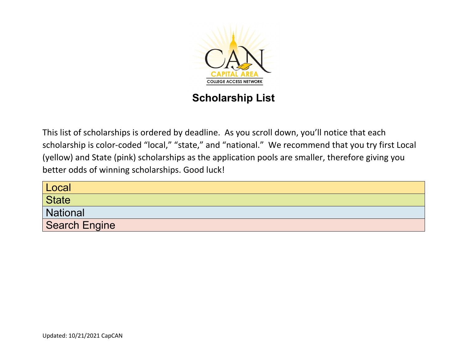

## **Scholarship List**

This list of scholarships is ordered by deadline. As you scroll down, you'll notice that each scholarship is color-coded "local," "state," and "national." We recommend that you try first Local (yellow) and State (pink) scholarships as the application pools are smaller, therefore giving you better odds of winning scholarships. Good luck!

| Local                |
|----------------------|
| <b>State</b>         |
| National             |
| <b>Search Engine</b> |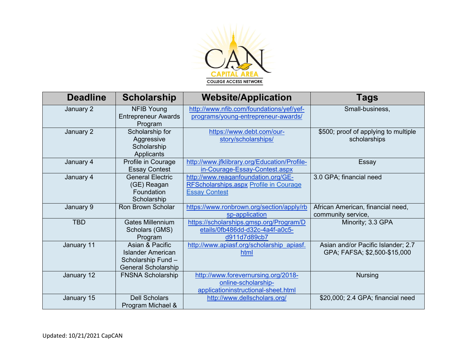

| <b>Deadline</b> | <b>Scholarship</b>                                                                              | <b>Website/Application</b>                                                                                   | Tags                                                               |
|-----------------|-------------------------------------------------------------------------------------------------|--------------------------------------------------------------------------------------------------------------|--------------------------------------------------------------------|
| January 2       | <b>NFIB Young</b><br><b>Entrepreneur Awards</b><br>Program                                      | http://www.nfib.com/foundations/yef/yef-<br>programs/young-entrepreneur-awards/                              | Small-business,                                                    |
| January 2       | Scholarship for<br>Aggressive<br>Scholarship<br>Applicants                                      | https://www.debt.com/our-<br>story/scholarships/                                                             | \$500; proof of applying to multiple<br>scholarships               |
| January 4       | Profile in Courage<br><b>Essay Contest</b>                                                      | http://www.jfklibrary.org/Education/Profile-<br>in-Courage-Essay-Contest.aspx                                | Essay                                                              |
| January 4       | <b>General Electric</b><br>(GE) Reagan<br>Foundation<br>Scholarship                             | http://www.reaganfoundation.org/GE-<br><b>RFScholarships.aspx Profile in Courage</b><br><b>Essay Contest</b> | 3.0 GPA; financial need                                            |
| January 9       | <b>Ron Brown Scholar</b>                                                                        | https://www.ronbrown.org/section/apply/rb<br>sp-application                                                  | African American, financial need,<br>community service,            |
| <b>TBD</b>      | <b>Gates Millennium</b><br>Scholars (GMS)<br>Program                                            | https://scholarships.gmsp.org/Program/D<br>etails/0fb486dd-d32c-4a4f-a0c5-<br>d911d7d89cb7                   | Minority; 3.3 GPA                                                  |
| January 11      | Asian & Pacific<br><b>Islander American</b><br>Scholarship Fund -<br><b>General Scholarship</b> | http://www.apiasf.org/scholarship apiasf.<br>html                                                            | Asian and/or Pacific Islander; 2.7<br>GPA; FAFSA; \$2,500-\$15,000 |
| January 12      | <b>FNSNA Scholarship</b>                                                                        | http://www.forevernursing.org/2018-<br>online-scholarship-<br>applicationinstructional-sheet.html            | <b>Nursing</b>                                                     |
| January 15      | <b>Dell Scholars</b><br>Program Michael &                                                       | http://www.dellscholars.org/                                                                                 | \$20,000; 2.4 GPA; financial need                                  |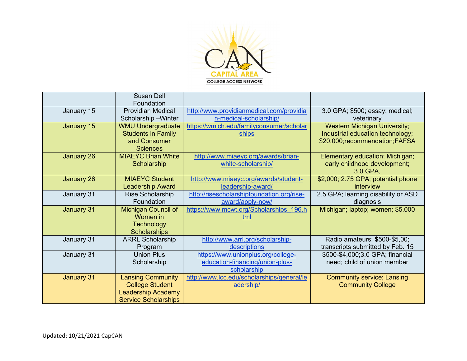

|            | <b>Susan Dell</b><br>Foundation                                                                                |                                                                                      |                                                                                                          |
|------------|----------------------------------------------------------------------------------------------------------------|--------------------------------------------------------------------------------------|----------------------------------------------------------------------------------------------------------|
| January 15 | <b>Providian Medical</b><br>Scholarship-Winter                                                                 | http://www.providianmedical.com/providia<br>n-medical-scholarship/                   | 3.0 GPA; \$500; essay; medical;<br>veterinary                                                            |
| January 15 | <b>WMU Undergraduate</b><br><b>Students in Family</b><br>and Consumer<br><b>Sciences</b>                       | https://wmich.edu/familyconsumer/scholar<br><b>ships</b>                             | <b>Western Michigan University;</b><br>Industrial education technology;<br>\$20,000;recommendation;FAFSA |
| January 26 | <b>MIAEYC Brian White</b><br>Scholarship                                                                       | http://www.miaeyc.org/awards/brian-<br>white-scholarship/                            | Elementary education; Michigan;<br>early childhood development;<br>3.0 GPA,                              |
| January 26 | <b>MIAEYC</b> Student<br><b>Leadership Award</b>                                                               | http://www.miaeyc.org/awards/student-<br>leadership-award/                           | \$2,000; 2.75 GPA; potential phone<br>interview                                                          |
| January 31 | <b>Rise Scholarship</b><br>Foundation                                                                          | http://risescholarshipfoundation.org/rise-<br>award/apply-now/                       | 2.5 GPA; learning disability or ASD<br>diagnosis                                                         |
| January 31 | <b>Michigan Council of</b><br>Women in<br><b>Technology</b><br><b>Scholarships</b>                             | https://www.mcwt.org/Scholarships 196.h<br>tml                                       | Michigan; laptop; women; \$5,000                                                                         |
| January 31 | <b>ARRL Scholarship</b><br>Program                                                                             | http://www.arrl.org/scholarship-<br>descriptions                                     | Radio amateurs; \$500-\$5,00;<br>transcripts submitted by Feb. 15                                        |
| January 31 | <b>Union Plus</b><br>Scholarship                                                                               | https://www.unionplus.org/college-<br>education-financing/union-plus-<br>scholarship | \$500-\$4,000;3.0 GPA; financial<br>need; child of union member                                          |
| January 31 | <b>Lansing Community</b><br><b>College Student</b><br><b>Leadership Academy</b><br><b>Service Scholarships</b> | http://www.lcc.edu/scholarships/general/le<br>adership/                              | <b>Community service; Lansing</b><br><b>Community College</b>                                            |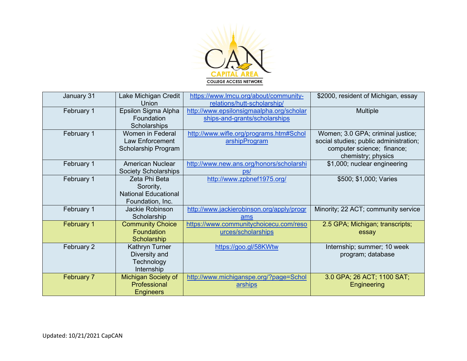

| January 31        | Lake Michigan Credit        | https://www.lmcu.org/about/community-     | \$2000, resident of Michigan, essay    |
|-------------------|-----------------------------|-------------------------------------------|----------------------------------------|
|                   | Union                       | relations/hutt-scholarship/               |                                        |
| February 1        | Epsilon Sigma Alpha         | http://www.epsilonsigmaalpha.org/scholar  | <b>Multiple</b>                        |
|                   | Foundation                  | ships-and-grants/scholarships             |                                        |
|                   | Scholarships                |                                           |                                        |
| February 1        | Women in Federal            | http://www.wifle.org/programs.htm#Schol   | Women; 3.0 GPA; criminal justice;      |
|                   | Law Enforcement             | arshipProgram                             | social studies; public administration; |
|                   | Scholarship Program         |                                           | computer science; finance;             |
|                   |                             |                                           | chemistry; physics                     |
| February 1        | American Nuclear            | http://www.new.ans.org/honors/scholarshi  | \$1,000; nuclear engineering           |
|                   | <b>Society Scholarships</b> | DS/                                       |                                        |
| February 1        | Zeta Phi Beta               | http://www.zpbnef1975.org/                | \$500; \$1,000; Varies                 |
|                   | Sorority,                   |                                           |                                        |
|                   | <b>National Educational</b> |                                           |                                        |
|                   | Foundation, Inc.            |                                           |                                        |
| February 1        | Jackie Robinson             | http://www.jackierobinson.org/apply/progr | Minority; 22 ACT; community service    |
|                   | Scholarship                 | ams                                       |                                        |
| February 1        | <b>Community Choice</b>     | https://www.communitychoicecu.com/reso    | 2.5 GPA; Michigan; transcripts;        |
|                   | Foundation                  | urces/scholarships                        | essay                                  |
|                   | Scholarship                 |                                           |                                        |
| February 2        | Kathryn Turner              | https://goo.gl/58KWtw                     | Internship; summer; 10 week            |
|                   | Diversity and               |                                           | program; database                      |
|                   | Technology                  |                                           |                                        |
|                   | Internship                  |                                           |                                        |
| <b>February 7</b> | <b>Michigan Society of</b>  | http://www.michiganspe.org/?page=Schol    | 3.0 GPA; 26 ACT; 1100 SAT;             |
|                   | Professional                | arships                                   | Engineering                            |
|                   | Engineers                   |                                           |                                        |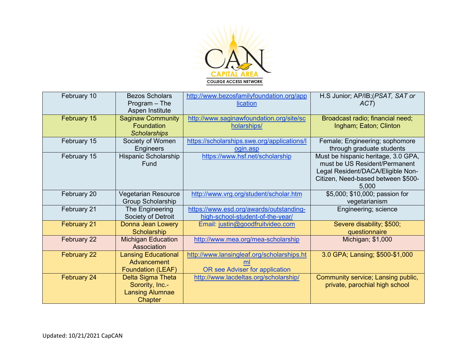

| February 10        | <b>Bezos Scholars</b><br>$Program - The$<br>Aspen Institute                      | http://www.bezosfamilyfoundation.org/app<br>lication                         | H.S Junior; AP/IB; (PSAT, SAT or<br>ACT)                                                                                                                 |
|--------------------|----------------------------------------------------------------------------------|------------------------------------------------------------------------------|----------------------------------------------------------------------------------------------------------------------------------------------------------|
| February 15        | <b>Saginaw Community</b><br>Foundation<br><b>Scholarships</b>                    | http://www.saginawfoundation.org/site/sc<br>holarships/                      | Broadcast radio; financial need;<br>Ingham; Eaton; Clinton                                                                                               |
| February 15        | Society of Women<br>Engineers                                                    | https://scholarships.swe.org/applications/l<br>ogin.asp                      | Female; Engineering; sophomore<br>through graduate students                                                                                              |
| February 15        | <b>Hispanic Scholarship</b><br>Fund                                              | https://www.hsf.net/scholarship                                              | Must be hispanic heritage, 3.0 GPA,<br>must be US Resident/Permanent<br>Legal Resident/DACA/Eligible Non-<br>Citizen, Need-based between \$500-<br>5,000 |
| February 20        | <b>Vegetarian Resource</b><br><b>Group Scholarship</b>                           | http://www.vrg.org/student/scholar.htm                                       | \$5,000; \$10,000; passion for<br>vegetarianism                                                                                                          |
| February 21        | The Engineering<br>Society of Detroit                                            | https://www.esd.org/awards/outstanding-<br>high-school-student-of-the-year/  | Engineering; science                                                                                                                                     |
| <b>February 21</b> | Donna Jean Lowery<br>Scholarship                                                 | Email: justin@goodfruitvideo.com                                             | Severe disability; \$500;<br>questionnaire                                                                                                               |
| February 22        | <b>Michigan Education</b><br>Association                                         | http://www.mea.org/mea-scholarship                                           | Michigan; \$1,000                                                                                                                                        |
| February 22        | <b>Lansing Educational</b><br>Advancement<br><b>Foundation (LEAF)</b>            | http://www.lansingleaf.org/scholarships.ht<br>OR see Adviser for application | 3.0 GPA; Lansing; \$500-\$1,000                                                                                                                          |
| February 24        | Delta Sigma Theta<br>Sorority, Inc.-<br><b>Lansing Alumnae</b><br><b>Chapter</b> | http://www.lacdeltas.org/scholarship/                                        | Community service; Lansing public,<br>private, parochial high school                                                                                     |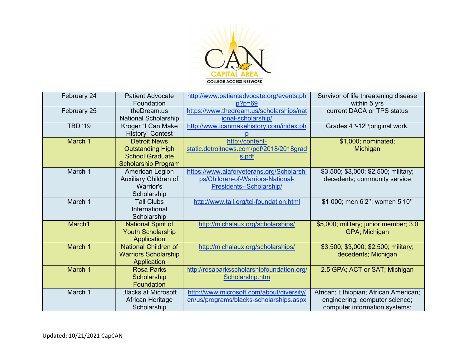

| February 24    | <b>Patient Advocate</b><br>Foundation | http://www.patientadvocate.org/events.ph<br>$p?p=69$ | Survivor of life threatening disease<br>within 5 yrs      |
|----------------|---------------------------------------|------------------------------------------------------|-----------------------------------------------------------|
| February 25    | theDream.us                           | https://www.thedream.us/scholarships/nat             | current DACA or TPS status                                |
|                | <b>National Scholarship</b>           | ional-scholarship/                                   |                                                           |
| <b>TBD '19</b> | Kroger "I Can Make                    | http://www.icanmakehistory.com/index.ph              | Grades 4 <sup>th</sup> -12 <sup>th</sup> ; original work, |
|                | <b>History" Contest</b>               |                                                      |                                                           |
| March 1        | <b>Detroit News</b>                   | http://content-                                      | \$1,000; nominated;                                       |
|                | <b>Outstanding High</b>               | static.detroitnews.com/pdf/2018/2018grad             | Michigan                                                  |
|                | <b>School Graduate</b>                | s.pdf                                                |                                                           |
|                | <b>Scholarship Program</b>            |                                                      |                                                           |
| March 1        | American Legion                       | https://www.alaforveterans.org/Scholarshi            | \$3,500; \$3,000; \$2,500; military;                      |
|                | Auxiliary Children of                 | ps/Children-of-Warriors-National-                    | decedents; community service                              |
|                | Warrior's                             | Presidents--Scholarship/                             |                                                           |
|                | Scholarship                           |                                                      |                                                           |
| March 1        | <b>Tall Clubs</b>                     | http://www.tall.org/tci-foundation.html              | \$1,000; men 6'2"; women 5'10"                            |
|                | International                         |                                                      |                                                           |
|                | Scholarship                           |                                                      |                                                           |
| March1         | <b>National Spirit of</b>             | http://michalaux.org/scholarships/                   | \$5,000; military; junior member; 3.0                     |
|                | <b>Youth Scholarship</b>              |                                                      | GPA; Michigan                                             |
|                | Application                           |                                                      |                                                           |
| March 1        | <b>National Children of</b>           | http://michalaux.org/scholarships/                   | \$3,500; \$3,000; \$2,500; military;                      |
|                | <b>Warriors Scholarship</b>           |                                                      | decedents; Michigan                                       |
|                | Application                           |                                                      |                                                           |
| March 1        | <b>Rosa Parks</b>                     | http://rosaparksscholarshipfoundation.org/           | 2.5 GPA; ACT or SAT; Michigan                             |
|                | Scholarship                           | Scholarship.htm                                      |                                                           |
|                | <b>Foundation</b>                     |                                                      |                                                           |
| March 1        | <b>Blacks at Microsoft</b>            | http://www.microsoft.com/about/diversity/            | African; Ethiopian; African American;                     |
|                | African Heritage                      | en/us/programs/blacks-scholarships.aspx              | engineering; computer science;                            |
|                | Scholarship                           |                                                      | computer information systems;                             |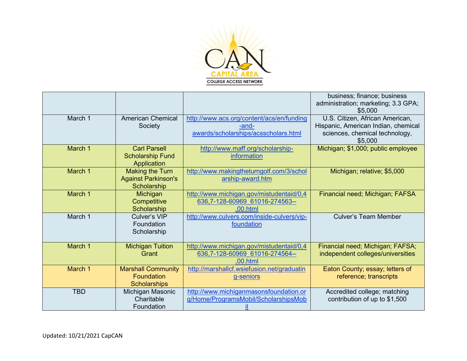

|            |                                                                       |                                                                                            | business; finance; business<br>administration; marketing; 3.3 GPA;<br>\$5,000                                       |
|------------|-----------------------------------------------------------------------|--------------------------------------------------------------------------------------------|---------------------------------------------------------------------------------------------------------------------|
| March 1    | <b>American Chemical</b><br>Society                                   | http://www.acs.org/content/acs/en/funding<br>-and-<br>awards/scholarships/acsscholars.html | U.S. Citizen, African American,<br>Hispanic, American Indian, chemical<br>sciences, chemical technology,<br>\$5,000 |
| March 1    | <b>Carl Parsell</b><br><b>Scholarship Fund</b><br>Application         | http://www.maff.org/scholarship-<br>information                                            | Michigan; \$1,000; public employee                                                                                  |
| March 1    | <b>Making the Turn</b><br><b>Against Parkinson's</b><br>Scholarship   | http://www.makingtheturngolf.com/3/schol<br>arship-award.htm                               | Michigan; relative; \$5,000                                                                                         |
| March 1    | Michigan<br>Competitive<br>Scholarship                                | http://www.michigan.gov/mistudentaid/0,4<br>636,7-128-60969 61016-274563--<br>.00.html     | Financial need; Michigan; FAFSA                                                                                     |
| March 1    | Culver's VIP<br>Foundation<br>Scholarship                             | http://www.culvers.com/inside-culvers/vip-<br>foundation                                   | <b>Culver's Team Member</b>                                                                                         |
| March 1    | <b>Michigan Tuition</b><br>Grant                                      | http://www.michigan.gov/mistudentaid/0,4<br>636,7-128-60969 61016-274564--<br>.00.html     | Financial need; Michigan; FAFSA;<br>independent colleges/universities                                               |
| March 1    | <b>Marshall Community</b><br><b>Foundation</b><br><b>Scholarships</b> | http://marshallcf.wsiefusion.net/graduatin<br>g-seniors                                    | Eaton County; essay; letters of<br>reference; transcripts                                                           |
| <b>TBD</b> | Michigan Masonic<br>Charitable<br>Foundation                          | http://www.michiganmasonsfoundation.or<br>g/Home/ProgramsMobil/ScholarshipsMob             | Accredited college; matching<br>contribution of up to \$1,500                                                       |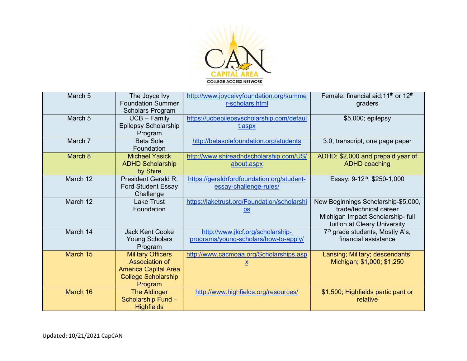

| March 5  | The Joyce Ivy<br><b>Foundation Summer</b><br><b>Scholars Program</b>                                               | http://www.joyceivyfoundation.org/summe<br>r-scholars.html                | Female; financial aid; 11 <sup>th</sup> or 12 <sup>th</sup><br>graders                                                             |
|----------|--------------------------------------------------------------------------------------------------------------------|---------------------------------------------------------------------------|------------------------------------------------------------------------------------------------------------------------------------|
| March 5  | $UCB - Family$<br>Epilepsy Scholarship<br>Program                                                                  | https://ucbepilepsyscholarship.com/defaul<br><u>t.aspx</u>                | \$5,000; epilepsy                                                                                                                  |
| March 7  | <b>Beta Sole</b><br>Foundation                                                                                     | http://betasolefoundation.org/students                                    | 3.0, transcript, one page paper                                                                                                    |
| March 8  | <b>Michael Yasick</b><br><b>ADHD Scholarship</b><br>by Shire                                                       | http://www.shireadhdscholarship.com/US/<br>about.aspx                     | ADHD; \$2,000 and prepaid year of<br><b>ADHD</b> coaching                                                                          |
| March 12 | President Gerald R.<br><b>Ford Student Essay</b><br>Challenge                                                      | https://geraldrfordfoundation.org/student-<br>essay-challenge-rules/      | Essay; 9-12 <sup>th</sup> ; \$250-1,000                                                                                            |
| March 12 | <b>Lake Trust</b><br>Foundation                                                                                    | https://laketrust.org/Foundation/scholarshi<br>$\underline{\mathsf{ps}}$  | New Beginnings Scholarship-\$5,000,<br>trade/technical career<br>Michigan Impact Scholarship- full<br>tuition at Cleary University |
| March 14 | <b>Jack Kent Cooke</b><br><b>Young Scholars</b><br>Program                                                         | http://www.jkcf.org/scholarship-<br>programs/young-scholars/how-to-apply/ | 7 <sup>th</sup> grade students, Mostly A's,<br>financial assistance                                                                |
| March 15 | <b>Military Officers</b><br>Association of<br><b>America Capital Area</b><br><b>College Scholarship</b><br>Program | http://www.cacmoaa.org/Scholarships.asp<br>x                              | Lansing; Military; descendants;<br>Michigan; \$1,000; \$1,250                                                                      |
| March 16 | <b>The Aldinger</b><br>Scholarship Fund -<br><b>Highfields</b>                                                     | http://www.highfields.org/resources/                                      | \$1,500; Highfields participant or<br>relative                                                                                     |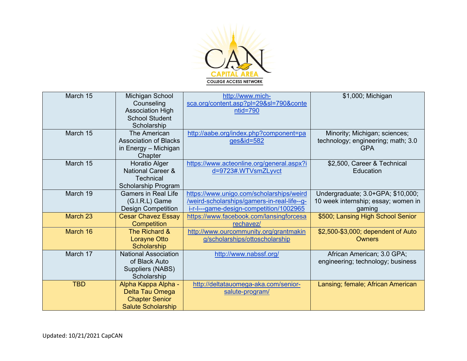

| March 15   | Michigan School<br>Counseling<br><b>Association High</b><br><b>School Student</b>               | http://www.mich-<br>sca.org/content.asp?pl=29&sl=790&conte<br>$ntid = 790$                                                         | \$1,000; Michigan                                                                  |
|------------|-------------------------------------------------------------------------------------------------|------------------------------------------------------------------------------------------------------------------------------------|------------------------------------------------------------------------------------|
|            | Scholarship                                                                                     |                                                                                                                                    |                                                                                    |
| March 15   | The American<br><b>Association of Blacks</b><br>in Energy - Michigan<br>Chapter                 | http://aabe.org/index.php?component=pa<br>ges&id=582                                                                               | Minority; Michigan; sciences;<br>technology; engineering; math; 3.0<br><b>GPA</b>  |
| March 15   | <b>Horatio Alger</b><br><b>National Career &amp;</b><br><b>Technical</b><br>Scholarship Program | https://www.acteonline.org/general.aspx?i<br>d=9723#.WTVsmZLyvct                                                                   | \$2,500, Career & Technical<br>Education                                           |
| March 19   | <b>Gamers in Real Life</b><br>(G.I.R.L) Game<br><b>Design Competition</b>                       | https://www.unigo.com/scholarships/weird<br>/weird-scholarships/gamers-in-real-life--g-<br>i-r-l---game-design-competition/1002965 | Undergraduate; 3.0+GPA; \$10,000;<br>10 week internship; essay; women in<br>gaming |
| March 23   | <b>Cesar Chavez Essay</b><br>Competition                                                        | https://www.facebook.com/lansingforcesa<br>rechavez/                                                                               | \$500; Lansing High School Senior                                                  |
| March 16   | The Richard &<br><b>Lorayne Otto</b><br>Scholarship                                             | http://www.ourcommunity.org/grantmakin<br>g/scholarships/ottoscholarship                                                           | \$2,500-\$3,000; dependent of Auto<br><b>Owners</b>                                |
| March 17   | <b>National Association</b><br>of Black Auto<br>Suppliers (NABS)<br>Scholarship                 | http://www.nabssf.org/                                                                                                             | African American; 3.0 GPA;<br>engineering; technology; business                    |
| <b>TBD</b> | Alpha Kappa Alpha -<br>Delta Tau Omega<br><b>Chapter Senior</b><br><b>Salute Scholarship</b>    | http://deltatauomega-aka.com/senior-<br>salute-program/                                                                            | Lansing; female; African American                                                  |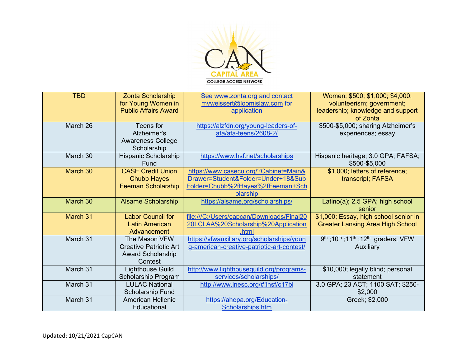

| <b>TBD</b> | Zonta Scholarship<br>for Young Women in<br><b>Public Affairs Award</b>                | See www.zonta.org and contact<br>mvweissert@loomislaw.com for<br>application                                              | Women; \$500; \$1,000; \$4,000;<br>volunteerism; government;<br>leadership; knowledge and support<br>of Zonta |
|------------|---------------------------------------------------------------------------------------|---------------------------------------------------------------------------------------------------------------------------|---------------------------------------------------------------------------------------------------------------|
| March 26   | Teens for<br>Alzheimer's<br><b>Awareness College</b><br>Scholarship                   | https://alzfdn.org/young-leaders-of-<br>afa/afa-teens/2608-2/                                                             | \$500-\$5,000; sharing Alzheimer's<br>experiences; essay                                                      |
| March 30   | Hispanic Scholarship<br>Fund                                                          | https://www.hsf.net/scholarships                                                                                          | Hispanic heritage; 3.0 GPA; FAFSA;<br>\$500-\$5,000                                                           |
| March 30   | <b>CASE Credit Union</b><br><b>Chubb Hayes</b><br><b>Feeman Scholarship</b>           | https://www.casecu.org/?Cabinet=Main&<br>Drawer=Student&Folder=Under+18⋐<br>Folder=Chubb%2fHayes%2fFeeman+Sch<br>olarship | \$1,000; letters of reference;<br>transcript; FAFSA                                                           |
| March 30   | <b>Alsame Scholarship</b>                                                             | https://alsame.org/scholarships/                                                                                          | Latino(a); 2.5 GPA; high school<br>senior                                                                     |
| March 31   | <b>Labor Council for</b><br>Latin American<br>Advancement                             | file:///C:/Users/capcan/Downloads/Final20<br>20LCLAA%20Scholarship%20Application<br>.html                                 | \$1,000; Essay, high school senior in<br><b>Greater Lansing Area High School</b>                              |
| March 31   | The Mason VFW<br><b>Creative Patriotic Art</b><br><b>Award Scholarship</b><br>Contest | https://vfwauxiliary.org/scholarships/youn<br>g-american-creative-patriotic-art-contest/                                  | 9 <sup>th</sup> ; 10 <sup>th</sup> ; 11 <sup>th</sup> ; 12 <sup>th</sup> graders; VFW<br>Auxiliary            |
| March 31   | <b>Lighthouse Guild</b><br>Scholarship Program                                        | http://www.lighthouseguild.org/programs-<br>services/scholarships/                                                        | \$10,000; legally blind; personal<br>statement                                                                |
| March 31   | <b>LULAC National</b><br>Scholarship Fund                                             | http://www.lnesc.org/#!lnsf/c17bl                                                                                         | 3.0 GPA; 23 ACT; 1100 SAT; \$250-<br>\$2,000                                                                  |
| March 31   | <b>American Hellenic</b><br>Educational                                               | https://ahepa.org/Education-<br>Scholarships.htm                                                                          | Greek; \$2,000                                                                                                |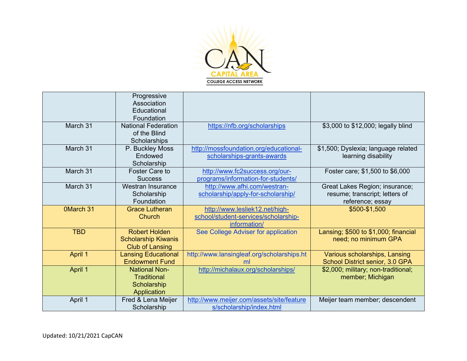

|                  | Progressive<br>Association<br>Educational<br>Foundation                      |                                                                                        |                                                                                      |
|------------------|------------------------------------------------------------------------------|----------------------------------------------------------------------------------------|--------------------------------------------------------------------------------------|
| March 31         | <b>National Federation</b><br>of the Blind<br>Scholarships                   | https://nfb.org/scholarships                                                           | \$3,000 to \$12,000; legally blind                                                   |
| March 31         | P. Buckley Moss<br>Endowed<br>Scholarship                                    | http://mossfoundation.org/educational-<br>scholarships-grants-awards                   | \$1,500; Dyslexia; language related<br>learning disability                           |
| March 31         | <b>Foster Care to</b><br><b>Success</b>                                      | http://www.fc2success.org/our-<br>programs/information-for-students/                   | Foster care; \$1,500 to \$6,000                                                      |
| March 31         | Westran Insurance<br>Scholarship<br>Foundation                               | http://www.afhi.com/westran-<br>scholarship/apply-for-scholarship/                     | Great Lakes Region; insurance;<br>resume; transcript; letters of<br>reference; essay |
| <b>OMarch 31</b> | <b>Grace Lutheran</b><br>Church                                              | http://www.lesliek12.net/high-<br>school/student-services/scholarship-<br>information/ | \$500-\$1,500                                                                        |
| <b>TBD</b>       | <b>Robert Holden</b><br><b>Scholarship Kiwanis</b><br><b>Club of Lansing</b> | See College Adviser for application                                                    | Lansing; \$500 to \$1,000; financial<br>need; no minimum GPA                         |
| April 1          | <b>Lansing Educational</b><br><b>Endowment Fund</b>                          | http://www.lansingleaf.org/scholarships.ht<br>ml                                       | Various scholarships, Lansing<br>School District senior, 3.0 GPA                     |
| April 1          | <b>National Non-</b><br><b>Traditional</b><br>Scholarship<br>Application     | http://michalaux.org/scholarships/                                                     | \$2,000; military; non-traditional;<br>member; Michigan                              |
| April 1          | Fred & Lena Meijer<br>Scholarship                                            | http://www.meijer.com/assets/site/feature<br>s/scholarship/index.html                  | Meijer team member; descendent                                                       |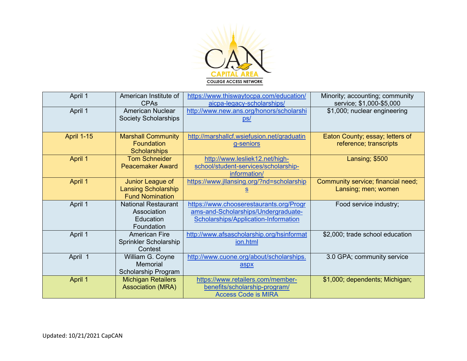

| April 1           | American Institute of<br><b>CPAs</b>           | https://www.thiswaytocpa.com/education/<br>aicpa-legacy-scholarships/ | Minority; accounting; community<br>service; \$1,000-\$5,000 |
|-------------------|------------------------------------------------|-----------------------------------------------------------------------|-------------------------------------------------------------|
| April 1           | <b>American Nuclear</b>                        | http://www.new.ans.org/honors/scholarshi                              | \$1,000; nuclear engineering                                |
|                   | <b>Society Scholarships</b>                    | <u>ps/</u>                                                            |                                                             |
| <b>April 1-15</b> | <b>Marshall Community</b>                      | http://marshallcf.wsiefusion.net/graduatin                            | Eaton County; essay; letters of                             |
|                   | <b>Foundation</b><br><b>Scholarships</b>       | g-seniors                                                             | reference; transcripts                                      |
| April 1           | <b>Tom Schneider</b>                           | http://www.lesliek12.net/high-                                        | Lansing; \$500                                              |
|                   | <b>Peacemaker Award</b>                        | school/student-services/scholarship-                                  |                                                             |
|                   |                                                | information/                                                          |                                                             |
| April 1           | Junior League of<br><b>Lansing Scholarship</b> | https://www.jllansing.org/?nd=scholarship                             | Community service; financial need;                          |
|                   | <b>Fund Nomination</b>                         | $\underline{\underline{s}}$                                           | Lansing; men; women                                         |
| April 1           | <b>National Restaurant</b>                     | https://www.chooserestaurants.org/Progr                               | Food service industry;                                      |
|                   | Association                                    | ams-and-Scholarships/Undergraduate-                                   |                                                             |
|                   | Education                                      | <b>Scholarships/Application-Information</b>                           |                                                             |
|                   | Foundation                                     |                                                                       |                                                             |
| April 1           | <b>American Fire</b>                           | http://www.afsascholarship.org/hsinformat                             | \$2,000; trade school education                             |
|                   | Sprinkler Scholarship                          | ion.html                                                              |                                                             |
|                   | Contest                                        |                                                                       |                                                             |
| April 1           | William G. Coyne                               | http://www.cuone.org/about/scholarships.                              | 3.0 GPA; community service                                  |
|                   | <b>Memorial</b>                                | aspx                                                                  |                                                             |
|                   | Scholarship Program                            |                                                                       |                                                             |
| April 1           | <b>Michigan Retailers</b>                      | https://www.retailers.com/member-                                     | \$1,000; dependents; Michigan;                              |
|                   | <b>Association (MRA)</b>                       | benefits/scholarship-program/                                         |                                                             |
|                   |                                                | <b>Access Code is MIRA</b>                                            |                                                             |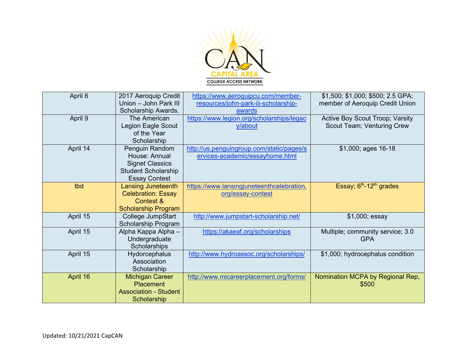

| April 6  | 2017 Aeroquip Credit<br>Union - John Park III | https://www.aeroquipcu.com/member-<br>resources/john-park-iii-scholarship- | \$1,500; \$1,000; \$500; 2.5 GPA;<br>member of Aeroquip Credit Union |
|----------|-----------------------------------------------|----------------------------------------------------------------------------|----------------------------------------------------------------------|
|          | Scholarship Awards.                           | awards                                                                     |                                                                      |
| April 9  | The American                                  | https://www.legion.org/scholarships/legac                                  | Active Boy Scout Troop; Varsity                                      |
|          | Legion Eagle Scout                            | y/about                                                                    | Scout Team; Venturing Crew                                           |
|          | of the Year                                   |                                                                            |                                                                      |
|          | Scholarship                                   |                                                                            |                                                                      |
| April 14 | Penguin Random                                | http://us.penguingroup.com/static/pages/s                                  | \$1,000; ages 16-18                                                  |
|          | House: Annual                                 | ervices-academic/essayhome.html                                            |                                                                      |
|          | <b>Signet Classics</b>                        |                                                                            |                                                                      |
|          | <b>Student Scholarship</b>                    |                                                                            |                                                                      |
|          | <b>Essay Contest</b>                          |                                                                            |                                                                      |
| tbd      | <b>Lansing Juneteenth</b>                     | https://www.lansingjuneteenthcelebration.                                  | Essay; $6th - 12th$ grades                                           |
|          | <b>Celebration: Essay</b>                     | org/essay-contest                                                          |                                                                      |
|          | Contest &                                     |                                                                            |                                                                      |
|          | <b>Scholarship Program</b>                    |                                                                            |                                                                      |
| April 15 | College JumpStart                             | http://www.jumpstart-scholarship.net/                                      | \$1,000; essay                                                       |
|          | Scholarship Program                           |                                                                            |                                                                      |
| April 15 | Alpha Kappa Alpha -                           | https://akaeaf.org/scholarships                                            | Multiple; community service; 3.0                                     |
|          | Undergraduate                                 |                                                                            | <b>GPA</b>                                                           |
|          | Scholarships                                  |                                                                            |                                                                      |
| April 15 | Hydorcephalus                                 | http://www.hydroassoc.org/scholarships/                                    | \$1,000; hydrocephalus condition                                     |
|          | Association                                   |                                                                            |                                                                      |
|          | Scholarship                                   |                                                                            |                                                                      |
| April 16 | <b>Michigan Career</b>                        | http://www.micareerplacement.org/forms/                                    | Nomination MCPA by Regional Rep,                                     |
|          | <b>Placement</b>                              |                                                                            | \$500                                                                |
|          | <b>Association - Student</b>                  |                                                                            |                                                                      |
|          | Scholarship                                   |                                                                            |                                                                      |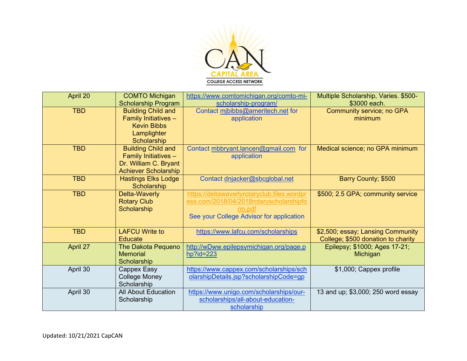

| April 20   | <b>COMTO Michigan</b><br><b>Scholarship Program</b>                                                       | https://www.comtomichigan.org/comto-mi-<br>scholarship-program/                                                                              | Multiple Scholarship, Varies. \$500-<br>\$3000 each.                    |
|------------|-----------------------------------------------------------------------------------------------------------|----------------------------------------------------------------------------------------------------------------------------------------------|-------------------------------------------------------------------------|
| <b>TBD</b> | <b>Building Child and</b><br>Family Initiatives -<br><b>Kevin Bibbs</b><br>Lamplighter<br>Scholarship     | Contact mibibbs@ameritech.net for<br>application                                                                                             | <b>Community service; no GPA</b><br>minimum                             |
| <b>TBD</b> | <b>Building Child and</b><br>Family Initiatives -<br>Dr. William C. Bryant<br><b>Achiever Scholarship</b> | Contact mbbryant.lancen@gmail.com for<br>application                                                                                         | Medical science; no GPA minimum                                         |
| <b>TBD</b> | <b>Hastings Elks Lodge</b><br>Scholarship                                                                 | Contact dnjacker@sbcqlobal.net                                                                                                               | Barry County; \$500                                                     |
| <b>TBD</b> | Delta-Waverly<br><b>Rotary Club</b><br>Scholarship                                                        | https://deltawaverlyrotaryclub.files.wordpr<br>ess.com/2018/04/2018rotaryscholarshipfo<br>rm.pdf<br>See your College Advisor for application | \$500; 2.5 GPA; community service                                       |
| <b>TBD</b> | <b>LAFCU Write to</b><br>Educate                                                                          | https://www.lafcu.com/scholarships                                                                                                           | \$2,500; essay; Lansing Community<br>College; \$500 donation to charity |
| April 27   | <b>The Dakota Pequeno</b><br><b>Memorial</b><br>Scholarship                                               | http://wDww.epilepsymichigan.org/page.p<br>$hp$ ?id=223                                                                                      | Epilepsy; \$1000; Ages 17-21;<br>Michigan                               |
| April 30   | Cappex Easy<br><b>College Money</b><br>Scholarship                                                        | https://www.cappex.com/scholarships/sch<br>olarshipDetails.jsp?scholarshipCode=gp                                                            | \$1,000; Cappex profile                                                 |
| April 30   | <b>All About Education</b><br>Scholarship                                                                 | https://www.unigo.com/scholarships/our-<br>scholarships/all-about-education-<br>scholarship                                                  | 13 and up; \$3,000; 250 word essay                                      |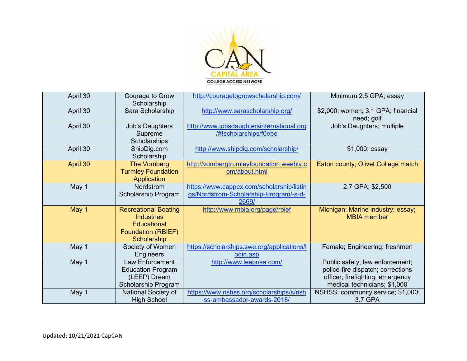

| April 30 | Courage to Grow<br>Scholarship                                                                                     | http://couragetogrowscholarship.com/                                                         | Minimum 2.5 GPA; essay                                                                                                                   |
|----------|--------------------------------------------------------------------------------------------------------------------|----------------------------------------------------------------------------------------------|------------------------------------------------------------------------------------------------------------------------------------------|
| April 30 | Sara Scholarship                                                                                                   | http://www.sarascholarship.org/                                                              | \$2,000; women; 3.1 GPA; financial<br>need; golf                                                                                         |
| April 30 | <b>Job's Daughters</b><br>Supreme<br>Scholarships                                                                  | http://www.jobsdaughtersinternational.org<br>/#!scholarships/f0ebe                           | Job's Daughters; multiple                                                                                                                |
| April 30 | ShipDig.com<br>Scholarship                                                                                         | http://www.shipdig.com/scholarship/                                                          | \$1,000; essay                                                                                                                           |
| April 30 | <b>The Vomberg</b><br><b>Turmley Foundation</b><br>Application                                                     | http://vombergtrumleyfoundation.weebly.c<br>om/about.html                                    | Eaton county; Olivet College match                                                                                                       |
| May 1    | Nordstrom<br>Scholarship Program                                                                                   | https://www.cappex.com/scholarship/listin<br>gs/Nordstrom-Scholarship-Program/-s-d-<br>2669/ | 2.7 GPA; \$2,500                                                                                                                         |
| May 1    | <b>Recreational Boating</b><br><b>Industries</b><br><b>Educational</b><br><b>Foundation (RBIEF)</b><br>Scholarship | http://www.mbia.org/page/rbief                                                               | Michigan; Marine industry; essay;<br><b>MBIA</b> member                                                                                  |
| May 1    | Society of Women<br>Engineers                                                                                      | https://scholarships.swe.org/applications/l<br>ogin.asp                                      | Female; Engineering; freshmen                                                                                                            |
| May 1    | <b>Law Enforcement</b><br><b>Education Program</b><br>(LEEP) Dream<br>Scholarship Program                          | http://www.leepusa.com/                                                                      | Public safety; law enforcement;<br>police-fire dispatch; corrections<br>officer; firefighting; emergency<br>medical technicians; \$1,000 |
| May 1    | National Society of<br><b>High School</b>                                                                          | https://www.nshss.org/scholarships/s/nsh<br>ss-ambassador-awards-2018/                       | NSHSS; community service; \$1,000;<br>3.7 GPA                                                                                            |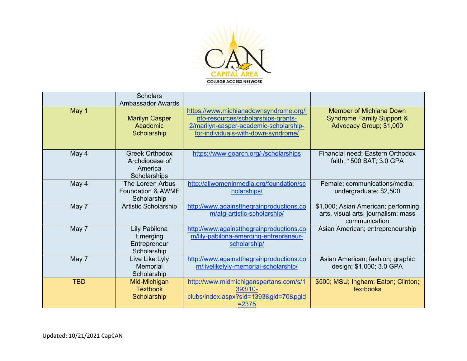

|            | <b>Scholars</b><br><b>Ambassador Awards</b>                        |                                                                                                                                                               |                                                                                                   |
|------------|--------------------------------------------------------------------|---------------------------------------------------------------------------------------------------------------------------------------------------------------|---------------------------------------------------------------------------------------------------|
| May 1      | <b>Marilyn Casper</b><br>Academic<br>Scholarship                   | https://www.michianadownsyndrome.org/i<br>nfo-resources/scholarships-grants-<br>2/marilyn-casper-academic-scholarship-<br>for-individuals-with-down-syndrome/ | <b>Member of Michiana Down</b><br><b>Syndrome Family Support &amp;</b><br>Advocacy Group; \$1,000 |
| May 4      | <b>Greek Orthodox</b><br>Archdiocese of<br>America<br>Scholarships | https://www.goarch.org/-/scholarships                                                                                                                         | Financial need; Eastern Orthodox<br>faith; 1500 SAT; 3.0 GPA                                      |
| May 4      | The Loreen Arbus<br><b>Foundation &amp; AWMF</b><br>Scholarship    | http://allwomeninmedia.org/foundation/sc<br>holarships/                                                                                                       | Female; communications/media;<br>undergraduate; \$2,500                                           |
| May 7      | <b>Artistic Scholarship</b>                                        | http://www.againstthegrainproductions.co<br>m/atg-artistic-scholarship/                                                                                       | \$1,000; Asian American; performing<br>arts, visual arts, journalism; mass<br>communication       |
| May 7      | <b>Lily Pabilona</b><br>Emerging<br>Entrepreneur<br>Scholarship    | http://www.againstthegrainproductions.co<br>m/lily-pabilona-emerging-entrepreneur-<br>scholarship/                                                            | Asian American; entrepreneurship                                                                  |
| May 7      | Live Like Lyly<br>Memorial<br>Scholarship                          | http://www.againstthegrainproductions.co<br>m/livelikelyly-memorial-scholarship/                                                                              | Asian American; fashion; graphic<br>design; \$1,000; 3.0 GPA                                      |
| <b>TBD</b> | Mid-Michigan<br><b>Textbook</b><br>Scholarship                     | http://www.midmichiganspartans.com/s/1<br>393/10-<br>clubs/index.aspx?sid=1393&gid=70&pgid<br>$= 2375$                                                        | \$500; MSU; Ingham; Eaton; Clinton;<br>textbooks                                                  |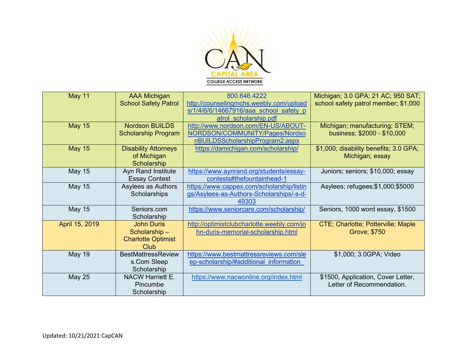

| <b>May 11</b>  | <b>AAA Michigan</b>         | 800.646.4222                               | Michigan; 3.0 GPA; 21 AC; 950 SAT;     |
|----------------|-----------------------------|--------------------------------------------|----------------------------------------|
|                | <b>School Safety Patrol</b> | http://counselingmchs.weebly.com/upload    | school safety patrol member; \$1,000   |
|                |                             | s/1/4/6/6/14667916/aaa school safety p     |                                        |
|                |                             | atrol scholarship.pdf                      |                                        |
| <b>May 15</b>  | <b>Nordson BUILDS</b>       | http://www.nordson.com/EN-US/ABOUT-        | Michigan; manufacturing; STEM;         |
|                | <b>Scholarship Program</b>  | NORDSON/COMMUNITY/Pages/Nordso             | business; \$2000 - \$10,000            |
|                |                             | nBUILDSScholarshipProgram2.aspx            |                                        |
| <b>May 15</b>  | <b>Disability Attorneys</b> | https://damichigan.com/scholarship/        | \$1,000; disability benefits; 3.0 GPA; |
|                | of Michigan                 |                                            | Michigan; essay                        |
|                | Scholarship                 |                                            |                                        |
| <b>May 15</b>  | <b>Ayn Rand Institute</b>   | https://www.aynrand.org/students/essay-    | Juniors; seniors; \$10,000; essay      |
|                | <b>Essay Contest</b>        | contests#thefountainhead-1                 |                                        |
| <b>May 15</b>  | Asylees as Authors          | https://www.cappex.com/scholarship/listin  | Asylees; refugees; \$1,000; \$5000     |
|                | Scholarships                | gs/Asylees-as-Authors-Scholarships/-s-d-   |                                        |
|                |                             | 49303                                      |                                        |
| <b>May 15</b>  | Seniors.com                 | https://www.seniorcare.com/scholarship/    | Seniors, 1000 word essay, \$1500       |
|                | Scholarship                 |                                            |                                        |
| April 15, 2019 | <b>John Duris</b>           | http://optimistclubcharlotte.weebly.com/jo | CTE; Charlotte; Potterville; Maple     |
|                | Scholarship-                | hn-duris-memorial-scholarship.html         | Grove; \$750                           |
|                | <b>Charlotte Optimist</b>   |                                            |                                        |
|                | Club                        |                                            |                                        |
| <b>May 19</b>  | <b>BestMattressReview</b>   | https://www.bestmattressreviews.com/sle    | \$1,000; 3.0GPA; Video                 |
|                | s.Com Sleep                 | ep-scholarship/#additional information     |                                        |
|                | Scholarship                 |                                            |                                        |
| <b>May 25</b>  | <b>NACW Harriett E.</b>     | https://www.nacwonline.org/index.html      | \$1500, Application, Cover Letter,     |
|                | Pincumbe                    |                                            | Letter of Recommendation.              |
|                | Scholarship                 |                                            |                                        |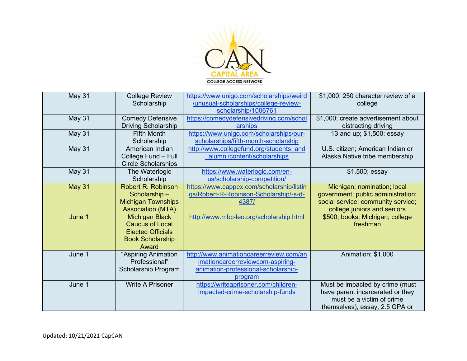

| May 31        | <b>College Review</b><br>Scholarship                                                                            | https://www.unigo.com/scholarships/weird<br>/unusual-scholarships/college-review-<br>scholarship/1006761                      | \$1,000; 250 character review of a<br>college                                                                                          |
|---------------|-----------------------------------------------------------------------------------------------------------------|-------------------------------------------------------------------------------------------------------------------------------|----------------------------------------------------------------------------------------------------------------------------------------|
| May 31        | <b>Comedy Defensive</b><br><b>Driving Scholarship</b>                                                           | https://comedydefensivedriving.com/schol<br>arships                                                                           | \$1,000; create advertisement about<br>distracting driving                                                                             |
| May 31        | <b>Fifth Month</b><br>Scholarship                                                                               | https://www.unigo.com/scholarships/our-<br>scholarships/fifth-month-scholarship                                               | 13 and up; \$1,500; essay                                                                                                              |
| <b>May 31</b> | American Indian<br>College Fund - Full<br><b>Circle Scholarships</b>                                            | http://www.collegefund.org/students and<br>alumni/content/scholarships                                                        | U.S. citizen; American Indian or<br>Alaska Native tribe membership                                                                     |
| May 31        | The Waterlogic<br>Scholarship                                                                                   | https://www.waterlogic.com/en-<br>us/scholarship-competition/                                                                 | \$1,500; essay                                                                                                                         |
| <b>May 31</b> | <b>Robert R. Robinson</b><br>Scholarship-<br><b>Michigan Townships</b><br><b>Association (MTA)</b>              | https://www.cappex.com/scholarship/listin<br>gs/Robert-R-Robinson-Scholarship/-s-d-<br>4387/                                  | Michigan; nomination; local<br>government; public administration;<br>social service; community service;<br>college juniors and seniors |
| June 1        | <b>Michigan Black</b><br><b>Caucus of Local</b><br><b>Elected Officials</b><br><b>Book Scholarship</b><br>Award | http://www.mbc-leo.org/scholarship.html                                                                                       | \$500; books; Michigan; college<br>freshman                                                                                            |
| June 1        | "Aspiring Animation<br>Professional"<br>Scholarship Program                                                     | http://www.animationcareerreview.com/an<br>imationcareerreviewcom-aspiring-<br>animation-professional-scholarship-<br>program | Animation; \$1,000                                                                                                                     |
| June 1        | <b>Write A Prisoner</b>                                                                                         | https://writeaprisoner.com/children-<br>impacted-crime-scholarship-funds                                                      | Must be impacted by crime (must<br>have parent incarcerated or they<br>must be a victim of crime<br>themselves), essay, 2.5 GPA or     |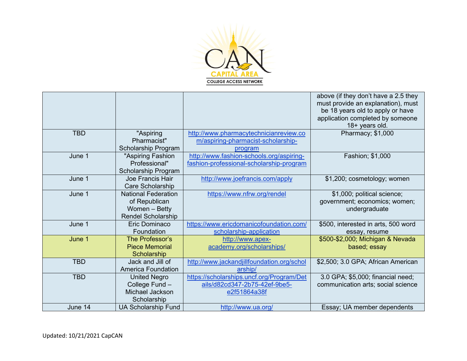

|            |                            |                                            | above (if they don't have a 2.5 they<br>must provide an explanation), must<br>be 18 years old to apply or have<br>application completed by someone<br>18+ years old. |
|------------|----------------------------|--------------------------------------------|----------------------------------------------------------------------------------------------------------------------------------------------------------------------|
| <b>TBD</b> | "Aspiring                  | http://www.pharmacytechnicianreview.co     | Pharmacy; \$1,000                                                                                                                                                    |
|            | Pharmacist"                | m/aspiring-pharmacist-scholarship-         |                                                                                                                                                                      |
|            | Scholarship Program        | program                                    |                                                                                                                                                                      |
| June 1     | "Aspiring Fashion          | http://www.fashion-schools.org/aspiring-   | Fashion; \$1,000                                                                                                                                                     |
|            | Professional"              | fashion-professional-scholarship-program   |                                                                                                                                                                      |
|            | Scholarship Program        |                                            |                                                                                                                                                                      |
| June 1     | Joe Francis Hair           | http://www.joefrancis.com/apply            | \$1,200; cosmetology; women                                                                                                                                          |
|            | Care Scholarship           |                                            |                                                                                                                                                                      |
| June 1     | <b>National Federation</b> | https://www.nfrw.org/rendel                | \$1,000; political science;                                                                                                                                          |
|            | of Republican              |                                            | government; economics; women;                                                                                                                                        |
|            | Women - Betty              |                                            | undergraduate                                                                                                                                                        |
|            | <b>Rendel Scholarship</b>  |                                            |                                                                                                                                                                      |
| June 1     | Eric Dominaco              | https://www.ericdomanicofoundation.com/    | \$500, interested in arts, 500 word                                                                                                                                  |
|            | Foundation                 | scholarship-application                    | essay, resume                                                                                                                                                        |
| June 1     | The Professor's            | http://www.apex-                           | \$500-\$2,000; Michigan & Nevada                                                                                                                                     |
|            | <b>Piece Memorial</b>      | academy.org/scholarships/                  | based; essay                                                                                                                                                         |
|            | Scholarship                |                                            |                                                                                                                                                                      |
| <b>TBD</b> | Jack and Jill of           | http://www.jackandjillfoundation.org/schol | \$2,500; 3.0 GPA; African American                                                                                                                                   |
|            | <b>America Foundation</b>  | arship/                                    |                                                                                                                                                                      |
| <b>TBD</b> | <b>United Negro</b>        | https://scholarships.uncf.org/Program/Det  | 3.0 GPA; \$5,000; financial need;                                                                                                                                    |
|            | College Fund -             | ails/d82cd347-2b75-42ef-9be5-              | communication arts; social science                                                                                                                                   |
|            | Michael Jackson            | e2f51864a38f                               |                                                                                                                                                                      |
|            | Scholarship                |                                            |                                                                                                                                                                      |
| June 14    | <b>UA Scholarship Fund</b> | http://www.ua.org/                         | Essay; UA member dependents                                                                                                                                          |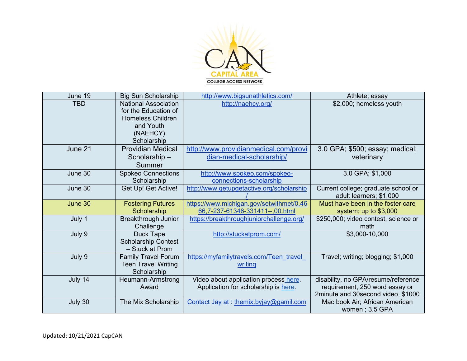

| June 19    | <b>Big Sun Scholarship</b>  | http://www.bigsunathletics.com/           | Athlete; essay                       |
|------------|-----------------------------|-------------------------------------------|--------------------------------------|
| <b>TBD</b> | <b>National Association</b> | http://naehcy.org/                        | \$2,000; homeless youth              |
|            | for the Education of        |                                           |                                      |
|            | <b>Homeless Children</b>    |                                           |                                      |
|            | and Youth                   |                                           |                                      |
|            | (NAEHCY)                    |                                           |                                      |
|            | Scholarship                 |                                           |                                      |
| June 21    | <b>Providian Medical</b>    | http://www.providianmedical.com/provi     | 3.0 GPA; \$500; essay; medical;      |
|            | Scholarship-                | dian-medical-scholarship/                 | veterinary                           |
|            | Summer                      |                                           |                                      |
| June 30    | <b>Spokeo Connections</b>   | http://www.spokeo.com/spokeo-             | 3.0 GPA; \$1,000                     |
|            | Scholarship                 | connections-scholarship                   |                                      |
| June 30    | Get Up! Get Active!         | http://www.getupgetactive.org/scholarship | Current college; graduate school or  |
|            |                             |                                           | adult learners; \$1,000              |
| June 30    | <b>Fostering Futures</b>    | https://www.michigan.gov/setwithmet/0,46  | Must have been in the foster care    |
|            | Scholarship                 | 66,7-237-61346-331411--,00.html           | system; up to \$3,000                |
| July 1     | <b>Breakthrough Junior</b>  | https://breakthroughjuniorchallenge.org/  | \$250,000; video contest; science or |
|            | Challenge                   |                                           | math                                 |
| July 9     | <b>Duck Tape</b>            | http://stuckatprom.com/                   | \$3,000-10,000                       |
|            | <b>Scholarship Contest</b>  |                                           |                                      |
|            | - Stuck at Prom             |                                           |                                      |
| July 9     | <b>Family Travel Forum</b>  | https://myfamilytravels.com/Teen travel   | Travel; writing; blogging; \$1,000   |
|            | <b>Teen Travel Writing</b>  | writing                                   |                                      |
|            | Scholarship                 |                                           |                                      |
| July 14    | Heumann-Armstrong           | Video about application process here.     | disability, no GPA/resume/reference  |
|            | Award                       | Application for scholarship is here       | requirement, 250 word essay or       |
|            |                             |                                           | 2minute and 30second video, \$1000   |
| July 30    | The Mix Scholarship         | Contact Jay at: themix.byjay@gamil.com    | Mac book Air; African American       |
|            |                             |                                           | women; 3.5 GPA                       |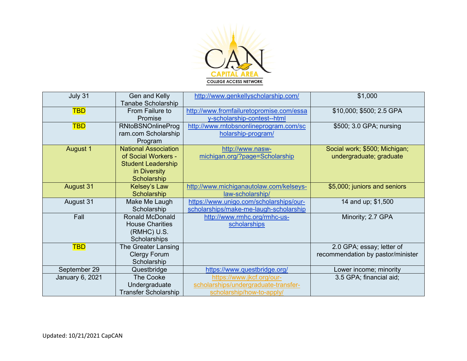

| July 31                | Gen and Kelly<br>Tanabe Scholarship                                                                            | http://www.genkellyscholarship.com/                                                            | \$1,000                                                        |
|------------------------|----------------------------------------------------------------------------------------------------------------|------------------------------------------------------------------------------------------------|----------------------------------------------------------------|
| <b>TBD</b>             | From Failure to<br>Promise                                                                                     | http://www.fromfailuretopromise.com/essa<br>y-scholarship-contest--html                        | \$10,000; \$500; 2.5 GPA                                       |
| <b>TBD</b>             | <b>RNtoBSNOnlineProg</b><br>ram.com Scholarship<br>Program                                                     | http://www.rntobsnonlineprogram.com/sc<br>holarship-program/                                   | \$500; 3.0 GPA; nursing                                        |
| August 1               | <b>National Association</b><br>of Social Workers -<br><b>Student Leadership</b><br>in Diversity<br>Scholarship | http://www.nasw-<br>michigan.org/?page=Scholarship                                             | Social work; \$500; Michigan;<br>undergraduate; graduate       |
| <b>August 31</b>       | Kelsey's Law<br>Scholarship                                                                                    | http://www.michiganautolaw.com/kelseys-<br>law-scholarship/                                    | \$5,000; juniors and seniors                                   |
| August 31              | Make Me Laugh<br>Scholarship                                                                                   | https://www.unigo.com/scholarships/our-<br>scholarships/make-me-laugh-scholarship              | 14 and up; \$1,500                                             |
| Fall                   | <b>Ronald McDonald</b><br><b>House Charities</b><br>(RMHC) U.S.<br>Scholarships                                | http://www.rmhc.org/rmhc-us-<br>scholarships                                                   | Minority; 2.7 GPA                                              |
| <b>TBD</b>             | The Greater Lansing<br><b>Clergy Forum</b><br>Scholarship                                                      |                                                                                                | 2.0 GPA; essay; letter of<br>recommendation by pastor/minister |
| September 29           | Questbridge                                                                                                    | https://www.questbridge.org/                                                                   | Lower income; minority                                         |
| <b>January 6, 2021</b> | <b>The Cooke</b><br>Undergraduate<br><b>Transfer Scholarship</b>                                               | https://www.jkcf.org/our-<br>scholarships/undergraduate-transfer-<br>scholarship/how-to-apply/ | 3.5 GPA; financial aid;                                        |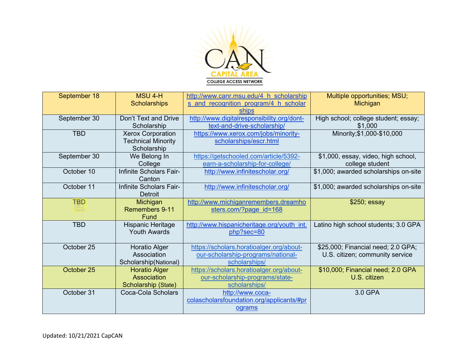

| September 18 | <b>MSU 4-H</b><br><b>Scholarships</b>                                | http://www.canr.msu.edu/4 h scholarship<br>s and recognition program/4 h scholar                | Multiple opportunities; MSU;<br>Michigan                              |
|--------------|----------------------------------------------------------------------|-------------------------------------------------------------------------------------------------|-----------------------------------------------------------------------|
| September 30 | Don't Text and Drive<br>Scholarship                                  | ships<br>http://www.digitalresponsibility.org/dont-<br>text-and-drive-scholarship/              | High school; college student; essay;<br>\$1,000                       |
| <b>TBD</b>   | <b>Xerox Corporation</b><br><b>Technical Minority</b><br>Scholarship | https://www.xerox.com/jobs/minority-<br>scholarships/escr.html                                  | Minority; \$1,000-\$10,000                                            |
| September 30 | We Belong In<br>College                                              | https://getschooled.com/article/5392-<br>earn-a-scholarship-for-college/                        | \$1,000, essay, video, high school,<br>college student                |
| October 10   | Infinite Scholars Fair-<br>Canton                                    | http://www.infinitescholar.org/                                                                 | \$1,000; awarded scholarships on-site                                 |
| October 11   | Infinite Scholars Fair-<br><b>Detroit</b>                            | http://www.infinitescholar.org/                                                                 | \$1,000; awarded scholarships on-site                                 |
| <b>TBD</b>   | Michigan<br>Remembers 9-11<br>Fund                                   | http://www.michiganremembers.dreamho<br>sters.com/?page id=168                                  | \$250; essay                                                          |
| <b>TBD</b>   | Hispanic Heritage<br><b>Youth Awards</b>                             | http://www.hispanicheritage.org/youth_int.<br>php?sec=80                                        | Latino high school students; 3.0 GPA                                  |
| October 25   | Horatio Alger<br>Association<br>Scholarship(National)                | https://scholars.horatioalger.org/about-<br>our-scholarship-programs/national-<br>scholarships/ | \$25,000; Financial need; 2.0 GPA;<br>U.S. citizen; community service |
| October 25   | <b>Horatio Alger</b><br>Association<br>Scholarship (State)           | https://scholars.horatioalger.org/about-<br>our-scholarship-programs/state-<br>scholarships/    | \$10,000; Financial need; 2.0 GPA<br>U.S. citizen                     |
| October 31   | Coca-Cola Scholars                                                   | http://www.coca-<br>colascholarsfoundation.org/applicants/#pr<br>ograms                         | 3.0 GPA                                                               |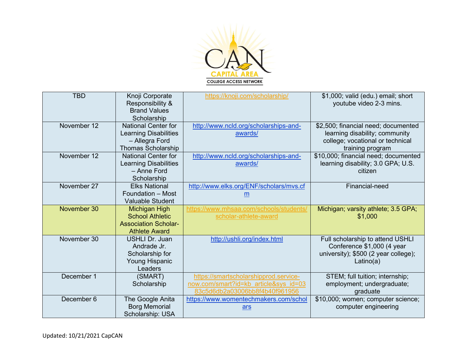

| <b>TBD</b>  | Knoji Corporate<br>Responsibility &<br><b>Brand Values</b><br>Scholarship                                 | https://knoji.com/scholarship/                                                                                   | \$1,000; valid (edu.) email; short<br>youtube video 2-3 mins.                                                                 |
|-------------|-----------------------------------------------------------------------------------------------------------|------------------------------------------------------------------------------------------------------------------|-------------------------------------------------------------------------------------------------------------------------------|
| November 12 | <b>National Center for</b><br><b>Learning Disabilities</b><br>- Allegra Ford<br><b>Thomas Scholarship</b> | http://www.ncld.org/scholarships-and-<br>awards/                                                                 | \$2,500; financial need; documented<br>learning disability; community<br>college; vocational or technical<br>training program |
| November 12 | <b>National Center for</b><br><b>Learning Disabilities</b><br>- Anne Ford<br>Scholarship                  | http://www.ncld.org/scholarships-and-<br>awards/                                                                 | \$10,000; financial need; documented<br>learning disability; 3.0 GPA; U.S.<br>citizen                                         |
| November 27 | <b>Elks National</b><br>Foundation - Most<br><b>Valuable Student</b>                                      | http://www.elks.org/ENF/scholars/mvs.cf<br>m                                                                     | Financial-need                                                                                                                |
| November 30 | <b>Michigan High</b><br><b>School Athletic</b><br><b>Association Scholar-</b><br><b>Athlete Award</b>     | https://www.mhsaa.com/schools/students/<br>scholar-athlete-award                                                 | Michigan; varsity athlete; 3.5 GPA;<br>\$1,000                                                                                |
| November 30 | <b>USHLI Dr. Juan</b><br>Andrade Jr.<br>Scholarship for<br><b>Young Hispanic</b><br>Leaders               | http://ushli.org/index.html                                                                                      | Full scholarship to attend USHLI<br>Conference \$1,000 (4 year<br>university); \$500 (2 year college);<br>Latino(a)           |
| December 1  | (SMART)<br>Scholarship                                                                                    | https://smartscholarshipprod.service-<br>now.com/smart?id=kb article&sys id=03<br>83c5d6db2a03006bb8f4b40f961956 | STEM; full tuition; internship;<br>employment; undergraduate;<br>graduate                                                     |
| December 6  | The Google Anita<br><b>Borg Memorial</b><br>Scholarship: USA                                              | https://www.womentechmakers.com/schol<br>ars                                                                     | \$10,000; women; computer science;<br>computer engineering                                                                    |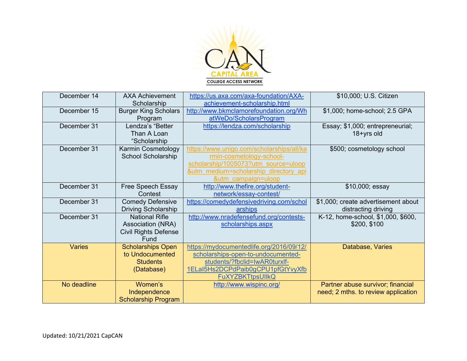

| December 14   | <b>AXA Achievement</b><br>Scholarship | https://us.axa.com/axa-foundation/AXA-<br>achievement-scholarship.html | \$10,000; U.S. Citizen              |
|---------------|---------------------------------------|------------------------------------------------------------------------|-------------------------------------|
| December 15   | <b>Burger King Scholars</b>           | http://www.bkmclamorefoundation.org/Wh                                 | \$1,000; home-school; 2.5 GPA       |
|               | Program                               | atWeDo/ScholarsProgram                                                 |                                     |
| December 31   | Lendza's "Better                      | https://lendza.com/scholarship                                         | Essay; \$1,000; entrepreneurial;    |
|               | Than A Loan                           |                                                                        | 18+yrs old                          |
|               | "Scholarship                          |                                                                        |                                     |
| December 31   | Karmin Cosmetology                    | https://www.unigo.com/scholarships/all/ka                              | \$500; cosmetology school           |
|               | <b>School Scholarship</b>             | rmin-cosmetology-school-                                               |                                     |
|               |                                       | scholarship/1005073?utm source=uloop                                   |                                     |
|               |                                       | &utm medium=scholarship directory api                                  |                                     |
|               |                                       | &utm campaign=uloop                                                    |                                     |
| December 31   | Free Speech Essay                     | http://www.thefire.org/student-                                        | \$10,000; essay                     |
|               | Contest                               | network/essay-contest/                                                 |                                     |
| December 31   | <b>Comedy Defensive</b>               | https://comedydefensivedriving.com/schol                               | \$1,000; create advertisement about |
|               | Driving Scholarship                   | arships                                                                | distracting driving                 |
| December 31   | <b>National Rifle</b>                 | http://www.nradefensefund.org/contests-                                | K-12, home-school, \$1,000, \$600,  |
|               | Association (NRA)                     | scholarships.aspx                                                      | \$200, \$100                        |
|               | <b>Civil Rights Defense</b>           |                                                                        |                                     |
|               | Fund                                  |                                                                        |                                     |
| <b>Varies</b> | <b>Scholarships Open</b>              | https://mydocumentedlife.org/2016/09/12/                               | Database, Varies                    |
|               | to Undocumented                       | scholarships-open-to-undocumented-                                     |                                     |
|               | <b>Students</b>                       | students/?fbclid=IwAR0turxlf-                                          |                                     |
|               | (Database)                            | 1ELaI5Hs2DCPdPaib0gCPU1pfGtYvyXfb                                      |                                     |
|               |                                       | <b>FuXYZBKTtpsUIIkQ</b>                                                |                                     |
| No deadline   | Women's                               | http://www.wispinc.org/                                                | Partner abuse survivor; financial   |
|               | Independence                          |                                                                        | need; 2 mths. to review application |
|               | <b>Scholarship Program</b>            |                                                                        |                                     |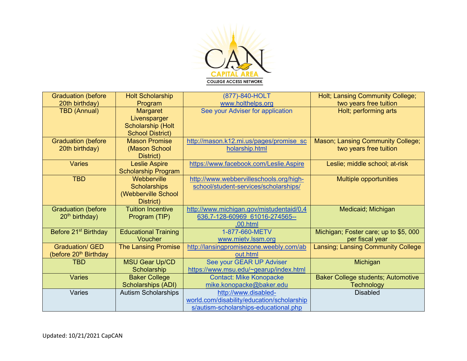

| <b>Graduation (before</b>         | <b>Holt Scholarship</b>     | (877)-840-HOLT                             | Holt; Lansing Community College;          |
|-----------------------------------|-----------------------------|--------------------------------------------|-------------------------------------------|
| 20th birthday)                    | Program                     | www.holthelps.org                          | two years free tuition                    |
| <b>TBD (Annual)</b>               | <b>Margaret</b>             | See your Adviser for application           | Holt; performing arts                     |
|                                   | Livensparger                |                                            |                                           |
|                                   | <b>Scholarship (Holt</b>    |                                            |                                           |
|                                   | <b>School District)</b>     |                                            |                                           |
| <b>Graduation (before</b>         | <b>Mason Promise</b>        | http://mason.k12.mi.us/pages/promise sc    | Mason; Lansing Community College;         |
| 20th birthday)                    | (Mason School               | holarship.html                             | two years free tuition                    |
|                                   | District)                   |                                            |                                           |
| <b>Varies</b>                     | <b>Leslie Aspire</b>        | https://www.facebook.com/Leslie.Aspire     | Leslie; middle school; at-risk            |
|                                   | <b>Scholarship Program</b>  |                                            |                                           |
| <b>TBD</b>                        | Webberville                 | http://www.webbervilleschools.org/high-    | <b>Multiple opportunities</b>             |
|                                   | <b>Scholarships</b>         | school/student-services/scholarships/      |                                           |
|                                   | (Webberville School         |                                            |                                           |
|                                   | District)                   |                                            |                                           |
| <b>Graduation (before</b>         | <b>Tuition Incentive</b>    | http://www.michigan.gov/mistudentaid/0,4   | Medicaid; Michigan                        |
| $20th$ birthday)                  | Program (TIP)               | 636,7-128-60969 61016-274565--             |                                           |
|                                   |                             | ,00.html                                   |                                           |
| Before 21 <sup>st</sup> Birthday  | <b>Educational Training</b> | 1-877-660-METV                             | Michigan; Foster care; up to \$5, 000     |
|                                   | Voucher                     | www.mietv.lssm.org                         | per fiscal year                           |
| <b>Graduation/ GED</b>            | <b>The Lansing Promise</b>  | http://lansingpromisezone.weebly.com/ab    | Lansing; Lansing Community College        |
| (before 20 <sup>th</sup> Birthday |                             | out.html                                   |                                           |
| <b>TBD</b>                        | <b>MSU Gear Up/CD</b>       | See your GEAR UP Adviser                   | Michigan                                  |
|                                   | Scholarship                 | https://www.msu.edu/~gearup/index.html     |                                           |
| <b>Varies</b>                     | <b>Baker College</b>        | <b>Contact: Mike Konopacke</b>             | <b>Baker College students; Automotive</b> |
|                                   | Scholarships (ADI)          | mike.konopacke@baker.edu                   | <b>Technology</b>                         |
| Varies                            | <b>Autism Scholarships</b>  | http://www.disabled-                       | <b>Disabled</b>                           |
|                                   |                             | world.com/disability/education/scholarship |                                           |
|                                   |                             | s/autism-scholarships-educational.php      |                                           |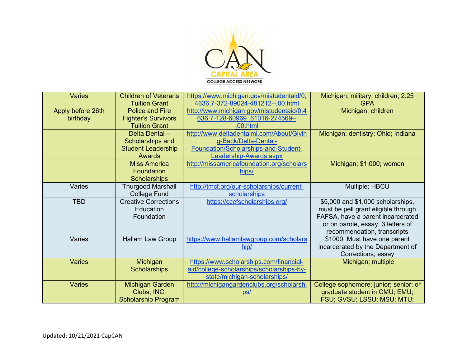

| <b>Varies</b>     | <b>Children of Veterans</b><br><b>Tuition Grant</b> | https://www.michigan.gov/mistudentaid/0,<br>4636,7-372-89024-481212--,00.html | Michigan; military; children; 2.25<br><b>GPA</b>                       |
|-------------------|-----------------------------------------------------|-------------------------------------------------------------------------------|------------------------------------------------------------------------|
| Apply before 26th | <b>Police and Fire</b>                              | http://www.michigan.gov/mistudentaid/0,4                                      | Michigan; children                                                     |
| birthday          | <b>Fighter's Survivors</b><br><b>Tuition Grant</b>  | 636,7-128-60969 61016-274569--<br>.00.html                                    |                                                                        |
|                   | Delta Dental-                                       | http://www.deltadentalmi.com/About/Givin                                      | Michigan; dentistry; Ohio; Indiana                                     |
|                   | Scholarships and                                    | g-Back/Delta-Dental-                                                          |                                                                        |
|                   | <b>Student Leadership</b>                           | Foundation/Scholarships-and-Student-                                          |                                                                        |
|                   | <b>Awards</b><br><b>Miss America</b>                | Leadership-Awards.aspx                                                        |                                                                        |
|                   | Foundation                                          | http://missamericafoundation.org/scholars<br>hips/                            | Michigan; \$1,000; women                                               |
|                   | <b>Scholarships</b>                                 |                                                                               |                                                                        |
| Varies            | <b>Thurgood Marshall</b>                            | http://tmcf.org/our-scholarships/current-                                     | Multiple; HBCU                                                         |
|                   | <b>College Fund</b>                                 | scholarships                                                                  |                                                                        |
| <b>TBD</b>        | <b>Creative Corrections</b>                         | https://ccefscholarships.org/                                                 | \$5,000 and \$1,000 scholarships,                                      |
|                   | Education                                           |                                                                               | must be pell grant eligible through                                    |
|                   | Foundation                                          |                                                                               | FAFSA, have a parent incarcerated<br>or on parole, essay, 3 letters of |
|                   |                                                     |                                                                               | recommendation, transcripts                                            |
| Varies            | <b>Hallam Law Group</b>                             | https://www.hallamlawgroup.com/scholars                                       | \$1000, Must have one parent                                           |
|                   |                                                     | hip/                                                                          | incarcerated by the Department of                                      |
|                   |                                                     |                                                                               | Corrections, essay                                                     |
| <b>Varies</b>     | Michigan                                            | https://www.scholarships.com/financial-                                       | Michigan; multiple                                                     |
|                   | <b>Scholarships</b>                                 | aid/college-scholarships/scholarships-by-                                     |                                                                        |
|                   |                                                     | state/michigan-scholarships/                                                  |                                                                        |
| <b>Varies</b>     | <b>Michigan Garden</b>                              | http://michigangardenclubs.org/scholarshi                                     | College sophomore; junior; senior; or                                  |
|                   | Clubs, INC.                                         | <u>ps/</u>                                                                    | graduate student in CMU; EMU;                                          |
|                   | <b>Scholarship Program</b>                          |                                                                               | FSU; GVSU; LSSU; MSU; MTU;                                             |